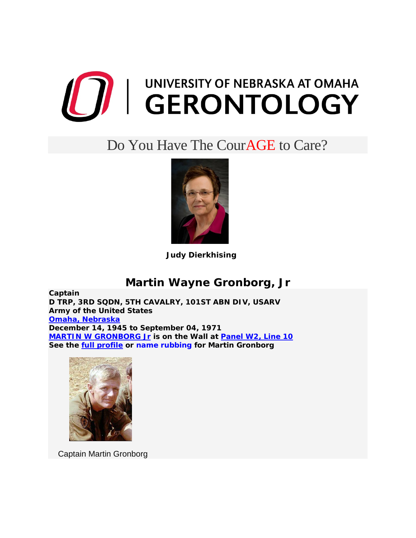

## Do You Have The CourAGE to Care?



 **Judy Dierkhising**

## **Martin Wayne Gronborg, Jr**

**Captain D TRP, 3RD SQDN, 5TH CAVALRY, 101ST ABN DIV, USARV Army of the United States [Omaha, Nebraska](http://www.virtualwall.org/istate/istatne.htm#omaha) December 14, 1945 to September 04, 1971 [MARTIN W GRONBORG Jr](http://www.virtualwall.org/dg/GronborgMW01a.htm) is on the Wall at [Panel W2, Line 10](http://www.virtualwall.org/ipanels/ipan02w.htm#L010) See the [full profile](http://www.virtualwall.org/dg/GronborgMW01a.htm) or [name rubbing](http://www.virtualwall.org/dg/GronborgMW01a.htm) for Martin Gronborg** 



Captain Martin Gronborg